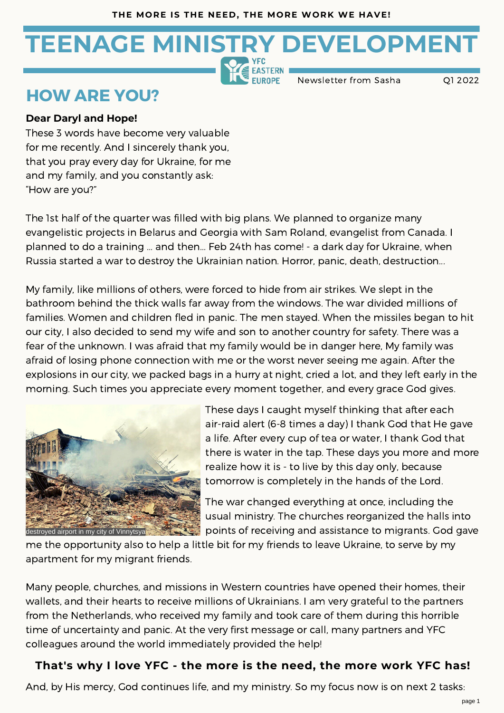# **TEENAGE MINISTRY DEVELOPMENT**

Newsletter from Sasha Q1 2022

### **HOW ARE YOU?**

#### **Dear Daryl and Hope!**

These <sup>3</sup> words have become very valuable for me recently. And <sup>I</sup> sincerely thank you, that you pray every day for Ukraine, for me and my family, and you constantly ask: "How are you?"

The 1st half of the quarter was filled with big plans. We planned to organize many evangelistic projects in Belarus and Georgia with Sam Roland, evangelist from Canada. I planned to do a training ... and then... Feb 24th has come! - a dark day for Ukraine, when Russia started <sup>a</sup> war to destroy the Ukrainian nation. Horror, panic, death, destruction...

My family, like millions of others, were forced to hide from air strikes. We slept in the bathroom behind the thick walls far away from the windows. The war divided millions of families. Women and children fled in panic. The men stayed. When the missiles began to hit our city, I also decided to send my wife and son to another country for safety. There was <sup>a</sup> fear of the unknown. <sup>I</sup> was afraid that my family would be in danger here, My family was afraid of losing phone connection with me or the worst never seeing me again. After the explosions in our city, we packed bags in a hurry at night, cried <sup>a</sup> lot, and they left early in the morning. Such times you appreciate every moment together, and every grace God gives.



These days I caught myself thinking that after each air-raid alert (6-8 times <sup>a</sup> day) <sup>I</sup> thank God that He gave <sup>a</sup> life. After every cup of tea or water, <sup>I</sup> thank God that there is water in the tap. These days you more and more realize how it is - to live by this day only, because tomorrow is completely in the hands of the Lord.

The war changed everything at once, including the usual ministry. The churches reorganized the halls into points of receiving and assistance to migrants. God gave

me the opportunity also to help a little bit for my friends to leave Ukraine, to serve by my apartment for my migrant friends.

Many people, churches, and missions in Western countries have opened their homes, their wallets, and their hearts to receive millions of Ukrainians. I am very grateful to the partners from the Netherlands, who received my family and took care of them during this horrible time of uncertainty and panic. At the very first message or call, many partners and YFC colleagues around the world immediately provided the help!

#### **That's why I love YFC - the more is the need, the more work YFC has!**

And, by His mercy, God continues life, and my ministry. So my focus now is on next 2 tasks: